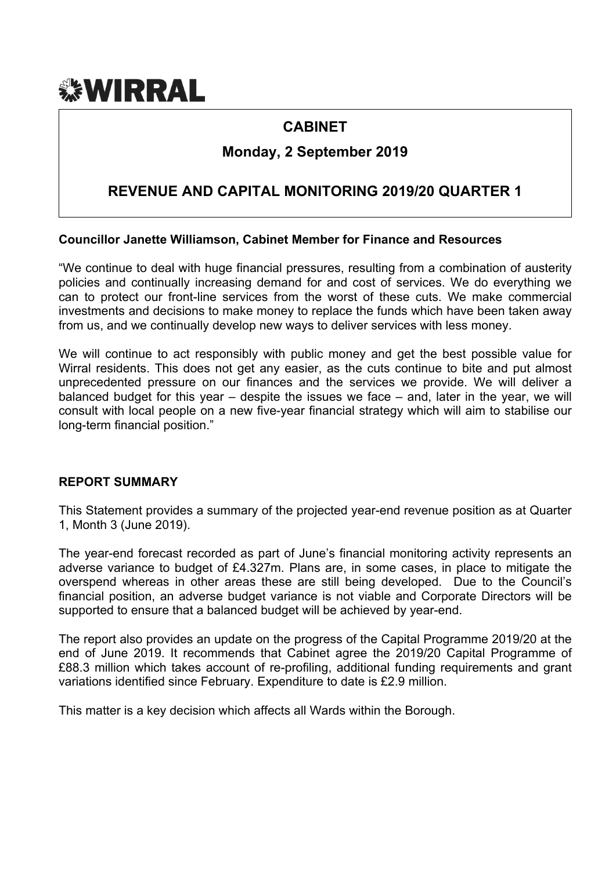# *<b>WIRRAL*

# **CABINET**

# **Monday, 2 September 2019**

# **REVENUE AND CAPITAL MONITORING 2019/20 QUARTER 1**

## **Councillor Janette Williamson, Cabinet Member for Finance and Resources**

"We continue to deal with huge financial pressures, resulting from a combination of austerity policies and continually increasing demand for and cost of services. We do everything we can to protect our front-line services from the worst of these cuts. We make commercial investments and decisions to make money to replace the funds which have been taken away from us, and we continually develop new ways to deliver services with less money.

We will continue to act responsibly with public money and get the best possible value for Wirral residents. This does not get any easier, as the cuts continue to bite and put almost unprecedented pressure on our finances and the services we provide. We will deliver a balanced budget for this year – despite the issues we face – and, later in the year, we will consult with local people on a new five-year financial strategy which will aim to stabilise our long-term financial position."

#### **REPORT SUMMARY**

This Statement provides a summary of the projected year-end revenue position as at Quarter 1, Month 3 (June 2019).

The year-end forecast recorded as part of June's financial monitoring activity represents an adverse variance to budget of £4.327m. Plans are, in some cases, in place to mitigate the overspend whereas in other areas these are still being developed. Due to the Council's financial position, an adverse budget variance is not viable and Corporate Directors will be supported to ensure that a balanced budget will be achieved by year-end.

The report also provides an update on the progress of the Capital Programme 2019/20 at the end of June 2019. It recommends that Cabinet agree the 2019/20 Capital Programme of £88.3 million which takes account of re-profiling, additional funding requirements and grant variations identified since February. Expenditure to date is £2.9 million.

This matter is a key decision which affects all Wards within the Borough.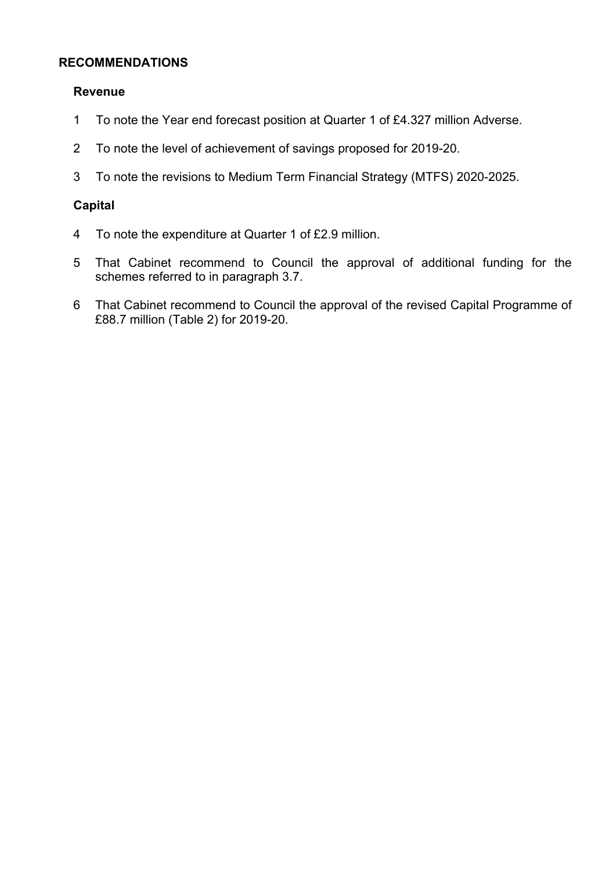# **RECOMMENDATIONS**

#### **Revenue**

- 1 To note the Year end forecast position at Quarter 1 of £4.327 million Adverse.
- 2 To note the level of achievement of savings proposed for 2019-20.
- 3 To note the revisions to Medium Term Financial Strategy (MTFS) 2020-2025.

#### **Capital**

- 4 To note the expenditure at Quarter 1 of £2.9 million.
- 5 That Cabinet recommend to Council the approval of additional funding for the schemes referred to in paragraph 3.7.
- 6 That Cabinet recommend to Council the approval of the revised Capital Programme of £88.7 million (Table 2) for 2019-20.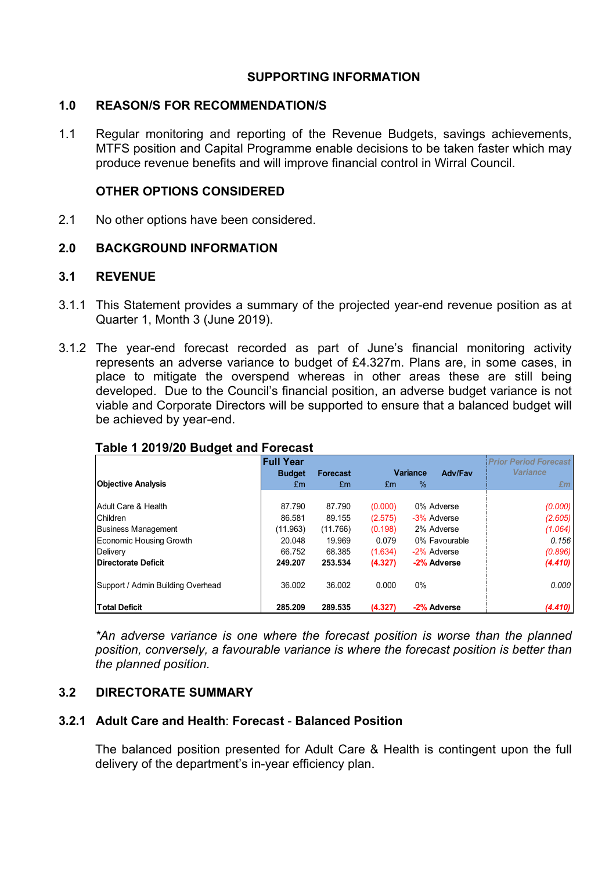# **SUPPORTING INFORMATION**

#### **1.0 REASON/S FOR RECOMMENDATION/S**

1.1 Regular monitoring and reporting of the Revenue Budgets, savings achievements, MTFS position and Capital Programme enable decisions to be taken faster which may produce revenue benefits and will improve financial control in Wirral Council.

## **OTHER OPTIONS CONSIDERED**

2.1 No other options have been considered.

# **2.0 BACKGROUND INFORMATION**

# **3.1 REVENUE**

- 3.1.1 This Statement provides a summary of the projected year-end revenue position as at Quarter 1, Month 3 (June 2019).
- 3.1.2 The year-end forecast recorded as part of June's financial monitoring activity represents an adverse variance to budget of £4.327m. Plans are, in some cases, in place to mitigate the overspend whereas in other areas these are still being developed. Due to the Council's financial position, an adverse budget variance is not viable and Corporate Directors will be supported to ensure that a balanced budget will be achieved by year-end.

|                                   | <b>Full Year</b> |                 |         |                 |               | <b>Prior Period Forecast</b> |
|-----------------------------------|------------------|-----------------|---------|-----------------|---------------|------------------------------|
|                                   | <b>Budget</b>    | <b>Forecast</b> |         | <b>Variance</b> | Adv/Fav       | <b>Variance</b>              |
| <b>Objective Analysis</b>         | £m               | £m              | £m      | $\%$            |               | £m                           |
|                                   |                  |                 |         |                 |               |                              |
| Adult Care & Health               | 87.790           | 87.790          | (0.000) |                 | 0% Adverse    | (0.000)                      |
| <b>Children</b>                   | 86.581           | 89.155          | (2.575) |                 | -3% Adverse   | (2.605)                      |
| <b>Business Management</b>        | (11.963)         | (11.766)        | (0.198) |                 | 2% Adverse    | (1.064)                      |
| Economic Housing Growth           | 20.048           | 19.969          | 0.079   |                 | 0% Favourable | 0.156                        |
| Delivery                          | 66.752           | 68.385          | (1.634) |                 | -2% Adverse   | (0.896)                      |
| Directorate Deficit               | 249.207          | 253.534         | (4.327) |                 | -2% Adverse   | (4.410)                      |
| Support / Admin Building Overhead | 36.002           | 36.002          | 0.000   | 0%              |               | 0.000                        |
| <b>Total Deficit</b>              | 285.209          | 289.535         | (4.327) |                 | -2% Adverse   | (4.410)                      |

# **Table 1 2019/20 Budget and Forecast**

*\*An adverse variance is one where the forecast position is worse than the planned position, conversely, a favourable variance is where the forecast position is better than the planned position.*

# **3.2 DIRECTORATE SUMMARY**

# **3.2.1 Adult Care and Health**: **Forecast** - **Balanced Position**

The balanced position presented for Adult Care & Health is contingent upon the full delivery of the department's in-year efficiency plan.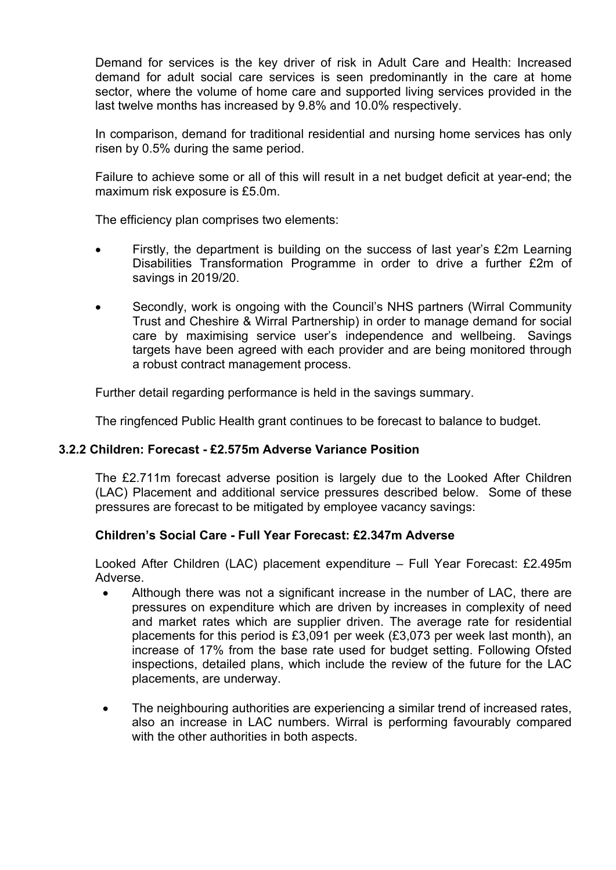Demand for services is the key driver of risk in Adult Care and Health: Increased demand for adult social care services is seen predominantly in the care at home sector, where the volume of home care and supported living services provided in the last twelve months has increased by 9.8% and 10.0% respectively.

In comparison, demand for traditional residential and nursing home services has only risen by 0.5% during the same period.

Failure to achieve some or all of this will result in a net budget deficit at year-end; the maximum risk exposure is £5.0m.

The efficiency plan comprises two elements:

- Firstly, the department is building on the success of last year's £2m Learning Disabilities Transformation Programme in order to drive a further £2m of savings in 2019/20.
- Secondly, work is ongoing with the Council's NHS partners (Wirral Community Trust and Cheshire & Wirral Partnership) in order to manage demand for social care by maximising service user's independence and wellbeing. Savings targets have been agreed with each provider and are being monitored through a robust contract management process.

Further detail regarding performance is held in the savings summary.

The ringfenced Public Health grant continues to be forecast to balance to budget.

#### **3.2.2 Children: Forecast - £2.575m Adverse Variance Position**

The £2.711m forecast adverse position is largely due to the Looked After Children (LAC) Placement and additional service pressures described below. Some of these pressures are forecast to be mitigated by employee vacancy savings:

#### **Children's Social Care - Full Year Forecast: £2.347m Adverse**

Looked After Children (LAC) placement expenditure – Full Year Forecast: £2.495m Adverse.

- Although there was not a significant increase in the number of LAC, there are pressures on expenditure which are driven by increases in complexity of need and market rates which are supplier driven. The average rate for residential placements for this period is £3,091 per week (£3,073 per week last month), an increase of 17% from the base rate used for budget setting. Following Ofsted inspections, detailed plans, which include the review of the future for the LAC placements, are underway.
- The neighbouring authorities are experiencing a similar trend of increased rates, also an increase in LAC numbers. Wirral is performing favourably compared with the other authorities in both aspects.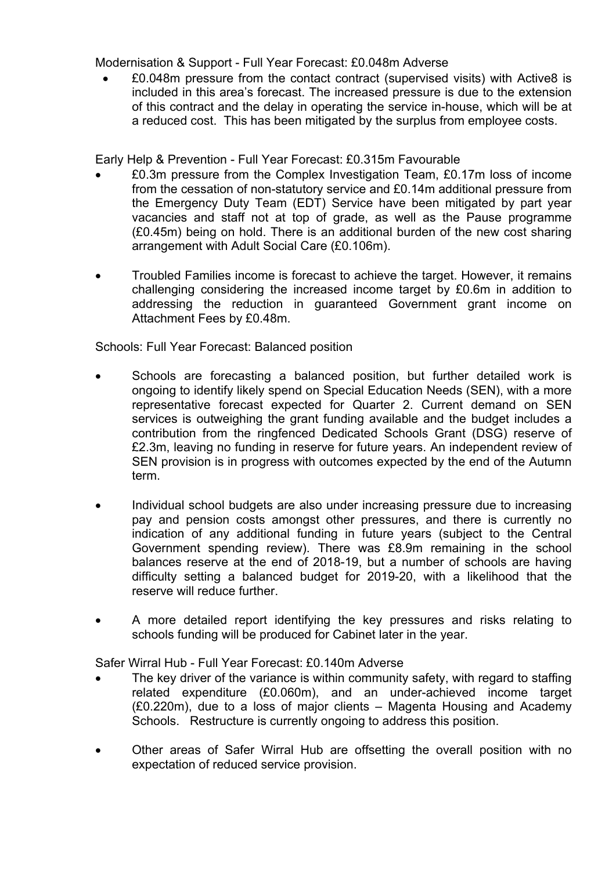Modernisation & Support - Full Year Forecast: £0.048m Adverse

 £0.048m pressure from the contact contract (supervised visits) with Active8 is included in this area's forecast. The increased pressure is due to the extension of this contract and the delay in operating the service in-house, which will be at a reduced cost. This has been mitigated by the surplus from employee costs.

Early Help & Prevention - Full Year Forecast: £0.315m Favourable

- £0.3m pressure from the Complex Investigation Team, £0.17m loss of income from the cessation of non-statutory service and £0.14m additional pressure from the Emergency Duty Team (EDT) Service have been mitigated by part year vacancies and staff not at top of grade, as well as the Pause programme (£0.45m) being on hold. There is an additional burden of the new cost sharing arrangement with Adult Social Care (£0.106m).
- Troubled Families income is forecast to achieve the target. However, it remains challenging considering the increased income target by £0.6m in addition to addressing the reduction in guaranteed Government grant income on Attachment Fees by £0.48m.

Schools: Full Year Forecast: Balanced position

- Schools are forecasting a balanced position, but further detailed work is ongoing to identify likely spend on Special Education Needs (SEN), with a more representative forecast expected for Quarter 2. Current demand on SEN services is outweighing the grant funding available and the budget includes a contribution from the ringfenced Dedicated Schools Grant (DSG) reserve of £2.3m, leaving no funding in reserve for future years. An independent review of SEN provision is in progress with outcomes expected by the end of the Autumn term.
- Individual school budgets are also under increasing pressure due to increasing pay and pension costs amongst other pressures, and there is currently no indication of any additional funding in future years (subject to the Central Government spending review). There was £8.9m remaining in the school balances reserve at the end of 2018-19, but a number of schools are having difficulty setting a balanced budget for 2019-20, with a likelihood that the reserve will reduce further.
- A more detailed report identifying the key pressures and risks relating to schools funding will be produced for Cabinet later in the year.

Safer Wirral Hub - Full Year Forecast: £0.140m Adverse

- The key driver of the variance is within community safety, with regard to staffing related expenditure (£0.060m), and an under-achieved income target (£0.220m), due to a loss of major clients – Magenta Housing and Academy Schools. Restructure is currently ongoing to address this position.
- Other areas of Safer Wirral Hub are offsetting the overall position with no expectation of reduced service provision.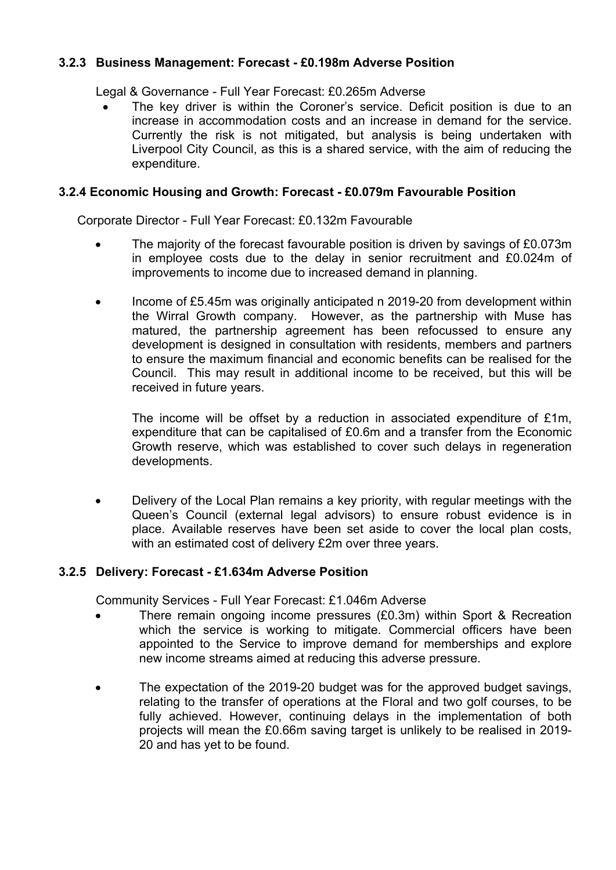# **3.2.3 Business Management: Forecast - £0.198m Adverse Position**

Legal & Governance - Full Year Forecast: £0.265m Adverse

 The key driver is within the Coroner's service. Deficit position is due to an increase in accommodation costs and an increase in demand for the service. Currently the risk is not mitigated, but analysis is being undertaken with Liverpool City Council, as this is a shared service, with the aim of reducing the expenditure.

#### **3.2.4 Economic Housing and Growth: Forecast - £0.079m Favourable Position**

Corporate Director - Full Year Forecast: £0.132m Favourable

- The majority of the forecast favourable position is driven by savings of £0.073m in employee costs due to the delay in senior recruitment and £0.024m of improvements to income due to increased demand in planning.
- Income of £5.45m was originally anticipated n 2019-20 from development within the Wirral Growth company. However, as the partnership with Muse has matured, the partnership agreement has been refocussed to ensure any development is designed in consultation with residents, members and partners to ensure the maximum financial and economic benefits can be realised for the Council. This may result in additional income to be received, but this will be received in future years.

The income will be offset by a reduction in associated expenditure of £1m, expenditure that can be capitalised of £0.6m and a transfer from the Economic Growth reserve, which was established to cover such delays in regeneration developments.

 Delivery of the Local Plan remains a key priority, with regular meetings with the Queen's Council (external legal advisors) to ensure robust evidence is in place. Available reserves have been set aside to cover the local plan costs, with an estimated cost of delivery £2m over three years.

#### **3.2.5 Delivery: Forecast - £1.634m Adverse Position**

Community Services - Full Year Forecast: £1.046m Adverse

- There remain ongoing income pressures (£0.3m) within Sport & Recreation which the service is working to mitigate. Commercial officers have been appointed to the Service to improve demand for memberships and explore new income streams aimed at reducing this adverse pressure.
- The expectation of the 2019-20 budget was for the approved budget savings, relating to the transfer of operations at the Floral and two golf courses, to be fully achieved. However, continuing delays in the implementation of both projects will mean the £0.66m saving target is unlikely to be realised in 2019- 20 and has yet to be found.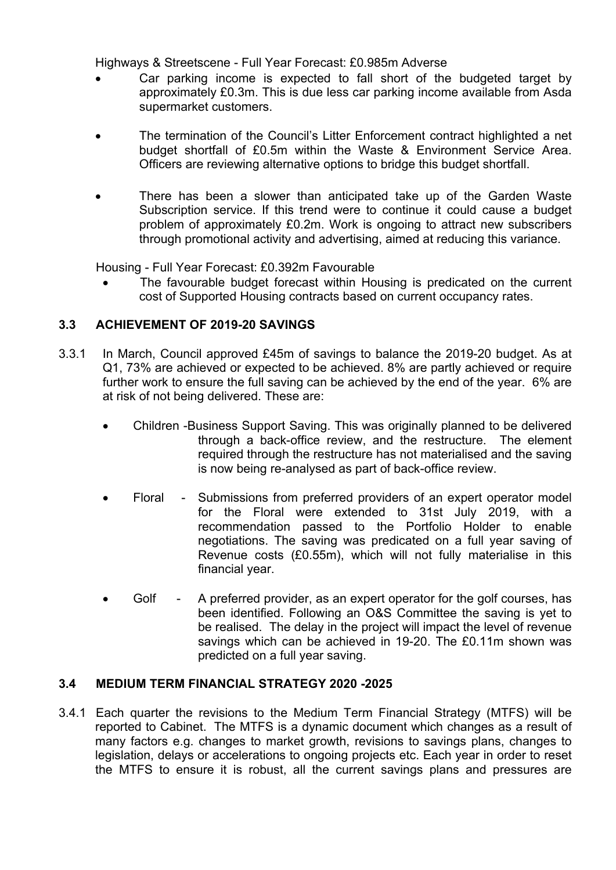Highways & Streetscene - Full Year Forecast: £0.985m Adverse

- Car parking income is expected to fall short of the budgeted target by approximately £0.3m. This is due less car parking income available from Asda supermarket customers.
- The termination of the Council's Litter Enforcement contract highlighted a net budget shortfall of £0.5m within the Waste & Environment Service Area. Officers are reviewing alternative options to bridge this budget shortfall.
- There has been a slower than anticipated take up of the Garden Waste Subscription service. If this trend were to continue it could cause a budget problem of approximately £0.2m. Work is ongoing to attract new subscribers through promotional activity and advertising, aimed at reducing this variance.

Housing - Full Year Forecast: £0.392m Favourable

 The favourable budget forecast within Housing is predicated on the current cost of Supported Housing contracts based on current occupancy rates.

# **3.3 ACHIEVEMENT OF 2019-20 SAVINGS**

- 3.3.1 In March, Council approved £45m of savings to balance the 2019-20 budget. As at Q1, 73% are achieved or expected to be achieved. 8% are partly achieved or require further work to ensure the full saving can be achieved by the end of the year. 6% are at risk of not being delivered. These are:
	- Children -Business Support Saving. This was originally planned to be delivered through a back-office review, and the restructure. The element required through the restructure has not materialised and the saving is now being re-analysed as part of back-office review.
	- Floral Submissions from preferred providers of an expert operator model for the Floral were extended to 31st July 2019, with a recommendation passed to the Portfolio Holder to enable negotiations. The saving was predicated on a full year saving of Revenue costs (£0.55m), which will not fully materialise in this financial year.
	- Golf A preferred provider, as an expert operator for the golf courses, has been identified. Following an O&S Committee the saving is yet to be realised. The delay in the project will impact the level of revenue savings which can be achieved in 19-20. The £0.11m shown was predicted on a full year saving.

# **3.4 MEDIUM TERM FINANCIAL STRATEGY 2020 -2025**

3.4.1 Each quarter the revisions to the Medium Term Financial Strategy (MTFS) will be reported to Cabinet. The MTFS is a dynamic document which changes as a result of many factors e.g. changes to market growth, revisions to savings plans, changes to legislation, delays or accelerations to ongoing projects etc. Each year in order to reset the MTFS to ensure it is robust, all the current savings plans and pressures are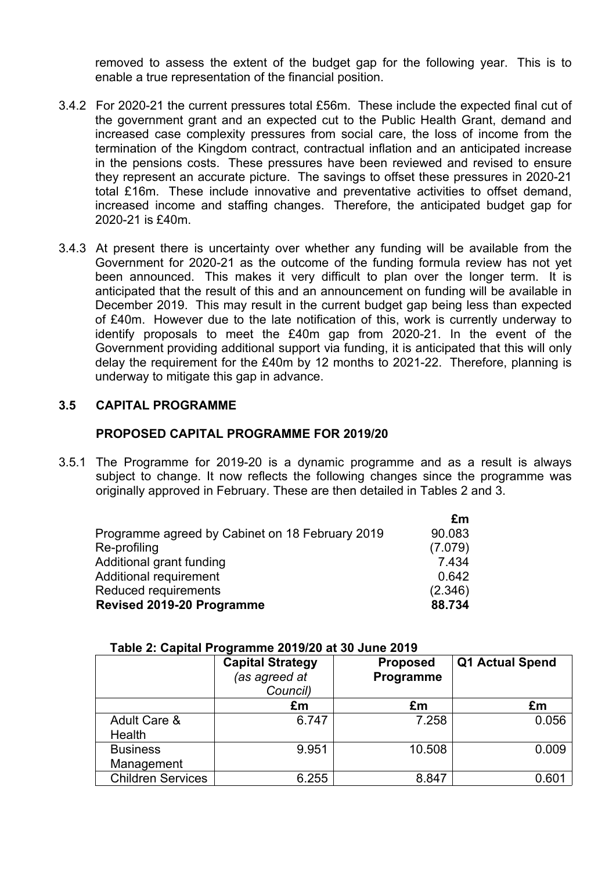removed to assess the extent of the budget gap for the following year. This is to enable a true representation of the financial position.

- 3.4.2 For 2020-21 the current pressures total £56m. These include the expected final cut of the government grant and an expected cut to the Public Health Grant, demand and increased case complexity pressures from social care, the loss of income from the termination of the Kingdom contract, contractual inflation and an anticipated increase in the pensions costs. These pressures have been reviewed and revised to ensure they represent an accurate picture. The savings to offset these pressures in 2020-21 total £16m. These include innovative and preventative activities to offset demand, increased income and staffing changes. Therefore, the anticipated budget gap for 2020-21 is £40m.
- 3.4.3 At present there is uncertainty over whether any funding will be available from the Government for 2020-21 as the outcome of the funding formula review has not yet been announced. This makes it very difficult to plan over the longer term. It is anticipated that the result of this and an announcement on funding will be available in December 2019. This may result in the current budget gap being less than expected of £40m. However due to the late notification of this, work is currently underway to identify proposals to meet the £40m gap from 2020-21. In the event of the Government providing additional support via funding, it is anticipated that this will only delay the requirement for the £40m by 12 months to 2021-22. Therefore, planning is underway to mitigate this gap in advance.

#### **3.5 CAPITAL PROGRAMME**

#### **PROPOSED CAPITAL PROGRAMME FOR 2019/20**

3.5.1 The Programme for 2019-20 is a dynamic programme and as a result is always subject to change. It now reflects the following changes since the programme was originally approved in February. These are then detailed in Tables 2 and 3.

| £m      |
|---------|
| 90.083  |
| (7.079) |
| 7.434   |
| 0.642   |
| (2.346) |
| 88.734  |
|         |

|                          | <b>Capital Strategy</b><br>(as agreed at<br>Council) | <b>Proposed</b><br>Programme | <b>Q1 Actual Spend</b> |
|--------------------------|------------------------------------------------------|------------------------------|------------------------|
|                          | £m                                                   | £m                           | £m                     |
| Adult Care &             | 6.747                                                | 7.258                        | 0.056                  |
| Health                   |                                                      |                              |                        |
| <b>Business</b>          | 9.951                                                | 10.508                       | 0.009                  |
| Management               |                                                      |                              |                        |
| <b>Children Services</b> | 6.255                                                | 8.847                        | 0.601                  |

#### **Table 2: Capital Programme 2019/20 at 30 June 2019**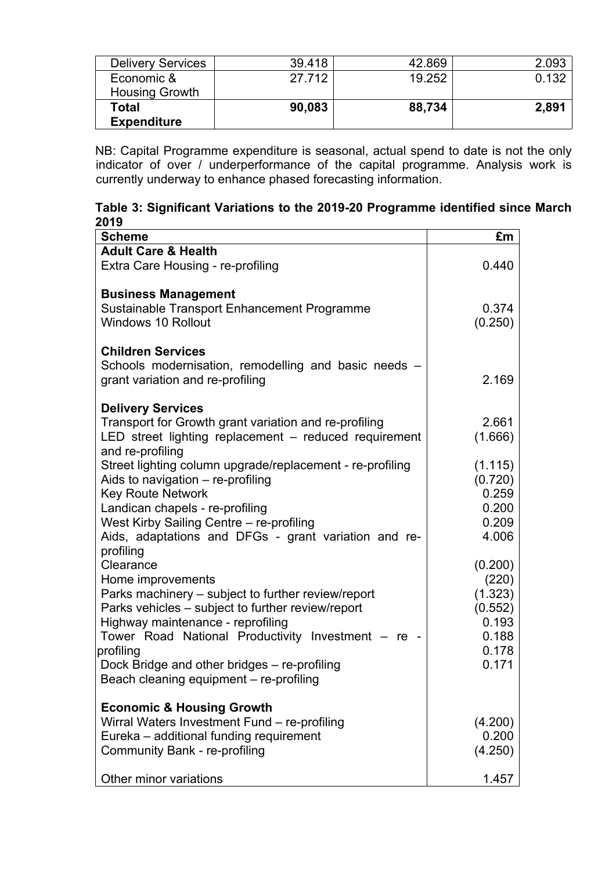| <b>Delivery Services</b> | 39.418 | 42.869 | 2.093 |
|--------------------------|--------|--------|-------|
| Economic &               | 27.712 | 19.252 | 0.132 |
| <b>Housing Growth</b>    |        |        |       |
| Total                    | 90,083 | 88,734 | 2,891 |
| <b>Expenditure</b>       |        |        |       |

NB: Capital Programme expenditure is seasonal, actual spend to date is not the only indicator of over / underperformance of the capital programme. Analysis work is currently underway to enhance phased forecasting information.

| Table 3: Significant Variations to the 2019-20 Programme identified since March |  |  |  |
|---------------------------------------------------------------------------------|--|--|--|
| 2019                                                                            |  |  |  |

| <b>Scheme</b>                                                                                                                                                                                                                                                                                                                                             | £m                                                                         |
|-----------------------------------------------------------------------------------------------------------------------------------------------------------------------------------------------------------------------------------------------------------------------------------------------------------------------------------------------------------|----------------------------------------------------------------------------|
| <b>Adult Care &amp; Health</b><br>Extra Care Housing - re-profiling                                                                                                                                                                                                                                                                                       | 0.440                                                                      |
| <b>Business Management</b><br>Sustainable Transport Enhancement Programme<br><b>Windows 10 Rollout</b>                                                                                                                                                                                                                                                    | 0.374<br>(0.250)                                                           |
| <b>Children Services</b><br>Schools modernisation, remodelling and basic needs -<br>grant variation and re-profiling                                                                                                                                                                                                                                      | 2.169                                                                      |
| <b>Delivery Services</b><br>Transport for Growth grant variation and re-profiling<br>LED street lighting replacement – reduced requirement<br>and re-profiling                                                                                                                                                                                            | 2.661<br>(1.666)                                                           |
| Street lighting column upgrade/replacement - re-profiling<br>Aids to navigation – re-profiling<br><b>Key Route Network</b><br>Landican chapels - re-profiling<br>West Kirby Sailing Centre - re-profiling<br>Aids, adaptations and DFGs - grant variation and re-                                                                                         | (1.115)<br>(0.720)<br>0.259<br>0.200<br>0.209<br>4.006                     |
| profiling<br>Clearance<br>Home improvements<br>Parks machinery – subject to further review/report<br>Parks vehicles - subject to further review/report<br>Highway maintenance - reprofiling<br>Tower Road National Productivity Investment - re -<br>profiling<br>Dock Bridge and other bridges – re-profiling<br>Beach cleaning equipment - re-profiling | (0.200)<br>(220)<br>(1.323)<br>(0.552)<br>0.193<br>0.188<br>0.178<br>0.171 |
| <b>Economic &amp; Housing Growth</b><br>Wirral Waters Investment Fund - re-profiling<br>Eureka – additional funding requirement<br>Community Bank - re-profiling<br>Other minor variations                                                                                                                                                                | (4.200)<br>0.200<br>(4.250)<br>1.457                                       |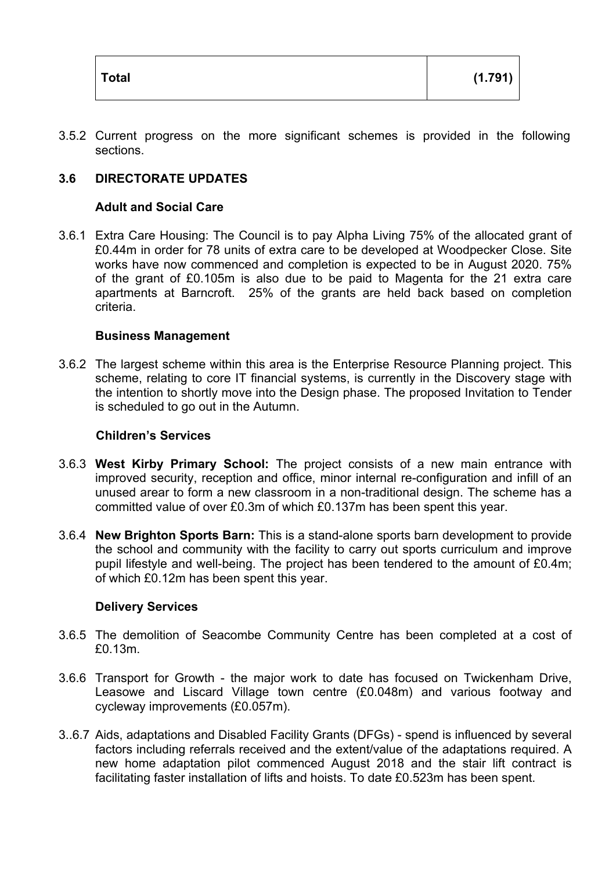| Total | (1.791) |
|-------|---------|
|       |         |

3.5.2 Current progress on the more significant schemes is provided in the following sections.

# **3.6 DIRECTORATE UPDATES**

#### **Adult and Social Care**

3.6.1 Extra Care Housing: The Council is to pay Alpha Living 75% of the allocated grant of £0.44m in order for 78 units of extra care to be developed at Woodpecker Close. Site works have now commenced and completion is expected to be in August 2020. 75% of the grant of £0.105m is also due to be paid to Magenta for the 21 extra care apartments at Barncroft. 25% of the grants are held back based on completion criteria.

#### **Business Management**

3.6.2 The largest scheme within this area is the Enterprise Resource Planning project. This scheme, relating to core IT financial systems, is currently in the Discovery stage with the intention to shortly move into the Design phase. The proposed Invitation to Tender is scheduled to go out in the Autumn.

#### **Children's Services**

- 3.6.3 **West Kirby Primary School:** The project consists of a new main entrance with improved security, reception and office, minor internal re-configuration and infill of an unused arear to form a new classroom in a non-traditional design. The scheme has a committed value of over £0.3m of which £0.137m has been spent this year.
- 3.6.4 **New Brighton Sports Barn:** This is a stand-alone sports barn development to provide the school and community with the facility to carry out sports curriculum and improve pupil lifestyle and well-being. The project has been tendered to the amount of £0.4m; of which £0.12m has been spent this year.

#### **Delivery Services**

- 3.6.5 The demolition of Seacombe Community Centre has been completed at a cost of £0.13m.
- 3.6.6 Transport for Growth the major work to date has focused on Twickenham Drive, Leasowe and Liscard Village town centre (£0.048m) and various footway and cycleway improvements (£0.057m).
- 3..6.7 Aids, adaptations and Disabled Facility Grants (DFGs) spend is influenced by several factors including referrals received and the extent/value of the adaptations required. A new home adaptation pilot commenced August 2018 and the stair lift contract is facilitating faster installation of lifts and hoists. To date £0.523m has been spent.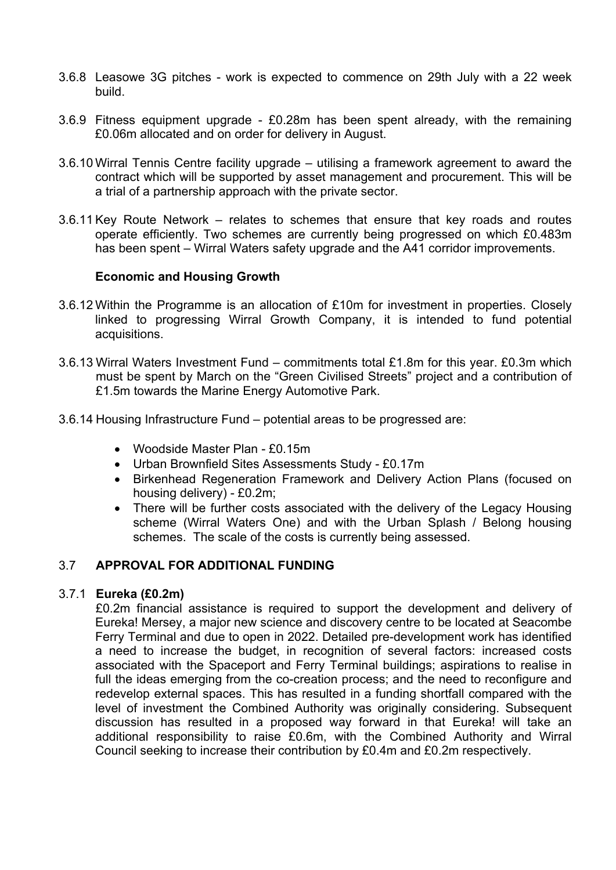- 3.6.8 Leasowe 3G pitches work is expected to commence on 29th July with a 22 week build.
- 3.6.9 Fitness equipment upgrade £0.28m has been spent already, with the remaining £0.06m allocated and on order for delivery in August.
- 3.6.10 Wirral Tennis Centre facility upgrade utilising a framework agreement to award the contract which will be supported by asset management and procurement. This will be a trial of a partnership approach with the private sector.
- 3.6.11 Key Route Network relates to schemes that ensure that key roads and routes operate efficiently. Two schemes are currently being progressed on which £0.483m has been spent – Wirral Waters safety upgrade and the A41 corridor improvements.

#### **Economic and Housing Growth**

- 3.6.12 Within the Programme is an allocation of £10m for investment in properties. Closely linked to progressing Wirral Growth Company, it is intended to fund potential acquisitions.
- 3.6.13 Wirral Waters Investment Fund commitments total £1.8m for this year. £0.3m which must be spent by March on the "Green Civilised Streets" project and a contribution of £1.5m towards the Marine Energy Automotive Park.
- 3.6.14 Housing Infrastructure Fund potential areas to be progressed are:
	- Woodside Master Plan £0.15m
	- Urban Brownfield Sites Assessments Study £0.17m
	- Birkenhead Regeneration Framework and Delivery Action Plans (focused on housing delivery) - £0.2m;
	- There will be further costs associated with the delivery of the Legacy Housing scheme (Wirral Waters One) and with the Urban Splash / Belong housing schemes. The scale of the costs is currently being assessed.

#### 3.7 **APPROVAL FOR ADDITIONAL FUNDING**

#### 3.7.1 **Eureka (£0.2m)**

£0.2m financial assistance is required to support the development and delivery of Eureka! Mersey, a major new science and discovery centre to be located at Seacombe Ferry Terminal and due to open in 2022. Detailed pre-development work has identified a need to increase the budget, in recognition of several factors: increased costs associated with the Spaceport and Ferry Terminal buildings; aspirations to realise in full the ideas emerging from the co-creation process; and the need to reconfigure and redevelop external spaces. This has resulted in a funding shortfall compared with the level of investment the Combined Authority was originally considering. Subsequent discussion has resulted in a proposed way forward in that Eureka! will take an additional responsibility to raise £0.6m, with the Combined Authority and Wirral Council seeking to increase their contribution by £0.4m and £0.2m respectively.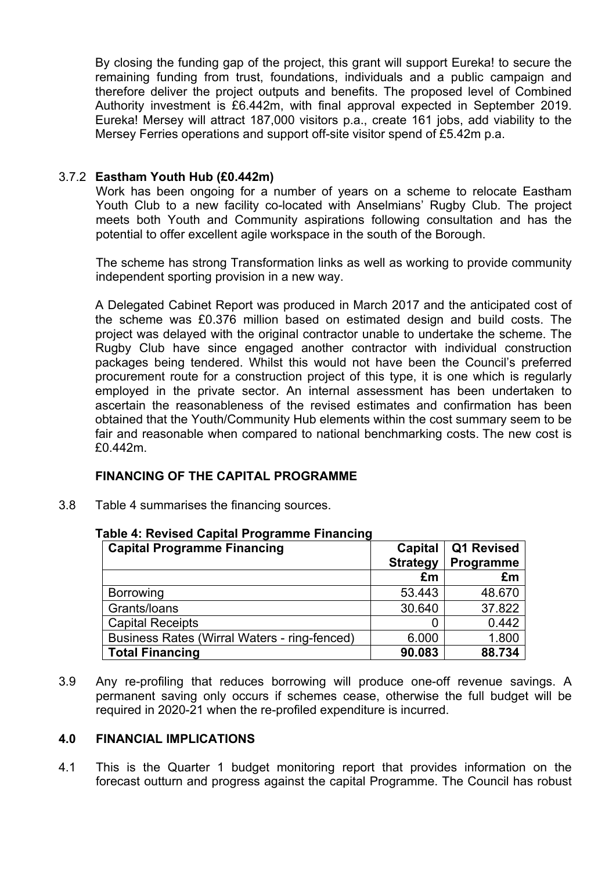By closing the funding gap of the project, this grant will support Eureka! to secure the remaining funding from trust, foundations, individuals and a public campaign and therefore deliver the project outputs and benefits. The proposed level of Combined Authority investment is £6.442m, with final approval expected in September 2019. Eureka! Mersey will attract 187,000 visitors p.a., create 161 jobs, add viability to the Mersey Ferries operations and support off-site visitor spend of £5.42m p.a.

#### 3.7.2 **Eastham Youth Hub (£0.442m)**

Work has been ongoing for a number of years on a scheme to relocate Eastham Youth Club to a new facility co-located with Anselmians' Rugby Club. The project meets both Youth and Community aspirations following consultation and has the potential to offer excellent agile workspace in the south of the Borough.

The scheme has strong Transformation links as well as working to provide community independent sporting provision in a new way.

A Delegated Cabinet Report was produced in March 2017 and the anticipated cost of the scheme was £0.376 million based on estimated design and build costs. The project was delayed with the original contractor unable to undertake the scheme. The Rugby Club have since engaged another contractor with individual construction packages being tendered. Whilst this would not have been the Council's preferred procurement route for a construction project of this type, it is one which is regularly employed in the private sector. An internal assessment has been undertaken to ascertain the reasonableness of the revised estimates and confirmation has been obtained that the Youth/Community Hub elements within the cost summary seem to be fair and reasonable when compared to national benchmarking costs. The new cost is £0.442m.

#### **FINANCING OF THE CAPITAL PROGRAMME**

3.8 Table 4 summarises the financing sources.

| <b>Capital Programme Financing</b>           | Capital         | Q1 Revised |
|----------------------------------------------|-----------------|------------|
|                                              | <b>Strategy</b> | Programme  |
|                                              | £m              | £m         |
| <b>Borrowing</b>                             | 53.443          | 48.670     |
| Grants/loans                                 | 30.640          | 37.822     |
| <b>Capital Receipts</b>                      |                 | 0.442      |
| Business Rates (Wirral Waters - ring-fenced) | 6.000           | 1.800      |
| <b>Total Financing</b>                       | 90.083          | 88.734     |

#### **Table 4: Revised Capital Programme Financing**

3.9 Any re-profiling that reduces borrowing will produce one-off revenue savings. A permanent saving only occurs if schemes cease, otherwise the full budget will be required in 2020-21 when the re-profiled expenditure is incurred.

#### **4.0 FINANCIAL IMPLICATIONS**

4.1 This is the Quarter 1 budget monitoring report that provides information on the forecast outturn and progress against the capital Programme. The Council has robust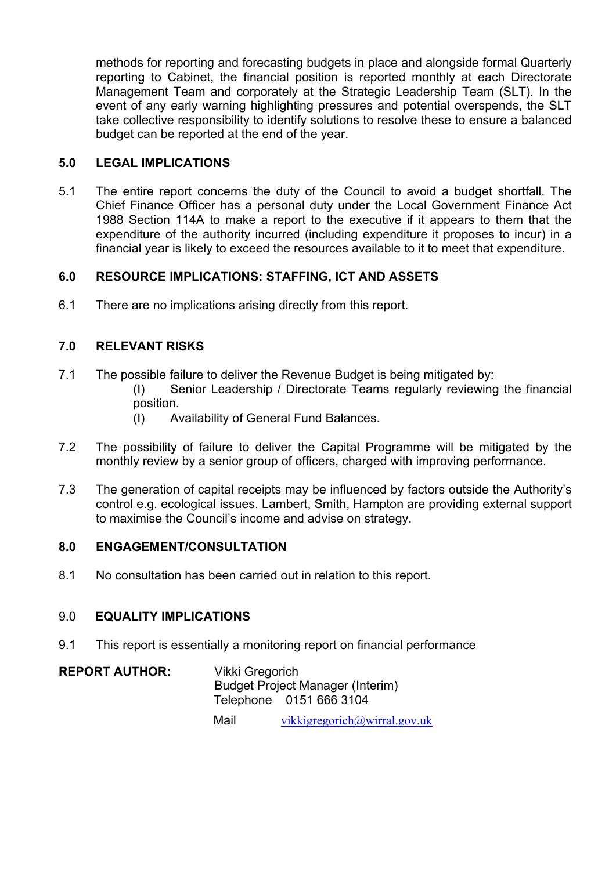methods for reporting and forecasting budgets in place and alongside formal Quarterly reporting to Cabinet, the financial position is reported monthly at each Directorate Management Team and corporately at the Strategic Leadership Team (SLT). In the event of any early warning highlighting pressures and potential overspends, the SLT take collective responsibility to identify solutions to resolve these to ensure a balanced budget can be reported at the end of the year.

# **5.0 LEGAL IMPLICATIONS**

5.1 The entire report concerns the duty of the Council to avoid a budget shortfall. The Chief Finance Officer has a personal duty under the Local Government Finance Act 1988 Section 114A to make a report to the executive if it appears to them that the expenditure of the authority incurred (including expenditure it proposes to incur) in a financial year is likely to exceed the resources available to it to meet that expenditure.

## **6.0 RESOURCE IMPLICATIONS: STAFFING, ICT AND ASSETS**

6.1 There are no implications arising directly from this report.

# **7.0 RELEVANT RISKS**

- 7.1 The possible failure to deliver the Revenue Budget is being mitigated by:
	- (I) Senior Leadership / Directorate Teams regularly reviewing the financial position.
		- (I) Availability of General Fund Balances.
- 7.2 The possibility of failure to deliver the Capital Programme will be mitigated by the monthly review by a senior group of officers, charged with improving performance.
- 7.3 The generation of capital receipts may be influenced by factors outside the Authority's control e.g. ecological issues. Lambert, Smith, Hampton are providing external support to maximise the Council's income and advise on strategy.

#### **8.0 ENGAGEMENT/CONSULTATION**

8.1 No consultation has been carried out in relation to this report.

#### 9.0 **EQUALITY IMPLICATIONS**

9.1 This report is essentially a monitoring report on financial performance

**REPORT AUTHOR:** Vikki Gregorich Budget Project Manager (Interim) Telephone 0151 666 3104

Mail [vikkigregorich@wirral.gov.uk](mailto:vikkigregorich@wirral.gov.uk)